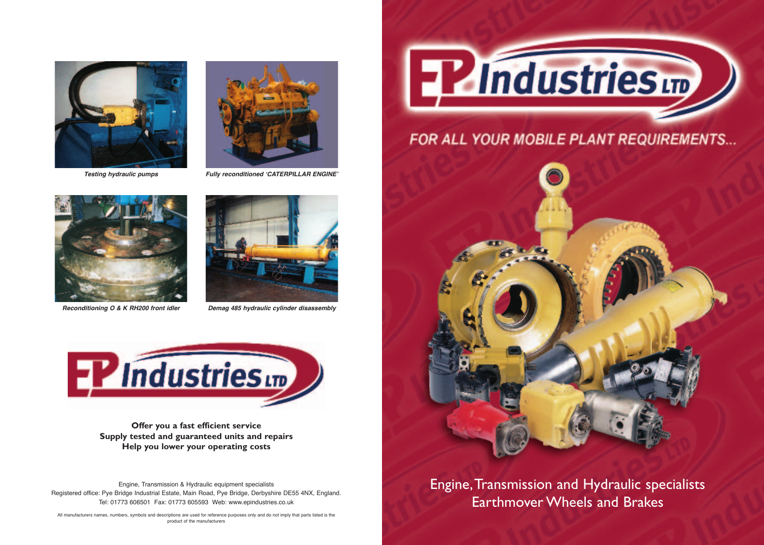



**Testing hydraulic pumps Fully reconditioned 'CATERPILLAR ENGINE'**



**Reconditioning O & K RH200 front idler Demag 485 hydraulic cylinder disassembly**





**Offer you a fast efficient service Supply tested and guaranteed units and repairs Help you lower your operating costs**

Engine, Transmission & Hydraulic equipment specialists Registered office: Pye Bridge Industrial Estate, Main Road, Pye Bridge, Derbyshire DE55 4NX, England. Tel: 01773 606501 Fax: 01773 605593 Web: www.epindustries.co.uk



## FOR ALL YOUR MOBILE PLANT REQUIREMENTS...



Engine,Transmission and Hydraulic specialists Earthmover Wheels and Brakes